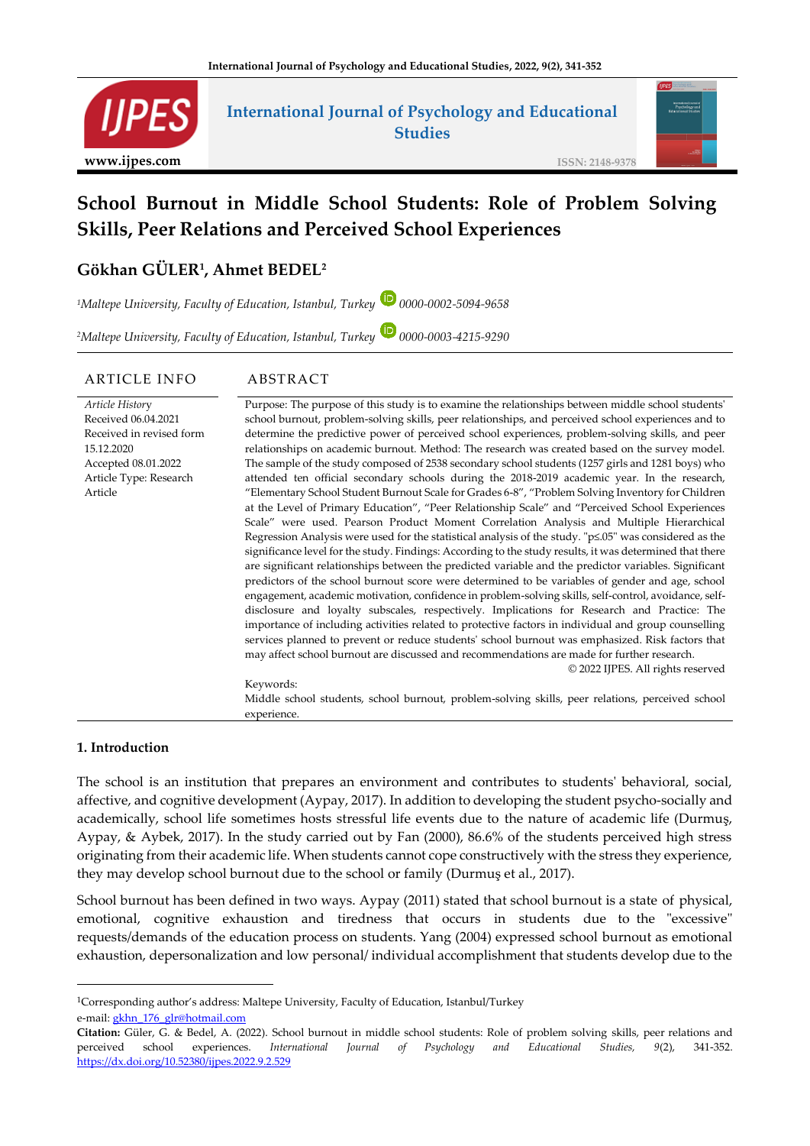

## **International Journal of Psychology and Educational Studies**



# **School Burnout in Middle School Students: Role of Problem Solving Skills, Peer Relations and Perceived School Experiences**

## **Gökhan GÜLER<sup>1</sup> , Ahmet BEDEL<sup>2</sup>**

*<sup>1</sup>Maltepe University, Faculty of Education, Istanbul, Turkey 0000-0002-5094-9658*

*<sup>2</sup>Maltepe University, Faculty of Education, Istanbul, Turkey 0000-0003-4215-9290*

#### ARTICLE INFO ABSTRACT

| Article History          | Purpose: The purpose of this study is to examine the relationships between middle school students'            |  |  |  |  |  |  |  |
|--------------------------|---------------------------------------------------------------------------------------------------------------|--|--|--|--|--|--|--|
| Received 06.04.2021      | school burnout, problem-solving skills, peer relationships, and perceived school experiences and to           |  |  |  |  |  |  |  |
| Received in revised form | determine the predictive power of perceived school experiences, problem-solving skills, and peer              |  |  |  |  |  |  |  |
| 15.12.2020               | relationships on academic burnout. Method: The research was created based on the survey model.                |  |  |  |  |  |  |  |
| Accepted 08.01.2022      | The sample of the study composed of 2538 secondary school students (1257 girls and 1281 boys) who             |  |  |  |  |  |  |  |
| Article Type: Research   | attended ten official secondary schools during the 2018-2019 academic year. In the research,                  |  |  |  |  |  |  |  |
| Article                  | "Elementary School Student Burnout Scale for Grades 6-8", "Problem Solving Inventory for Children             |  |  |  |  |  |  |  |
|                          | at the Level of Primary Education", "Peer Relationship Scale" and "Perceived School Experiences               |  |  |  |  |  |  |  |
|                          | Scale" were used. Pearson Product Moment Correlation Analysis and Multiple Hierarchical                       |  |  |  |  |  |  |  |
|                          | Regression Analysis were used for the statistical analysis of the study. " $p\leq 05$ " was considered as the |  |  |  |  |  |  |  |
|                          | significance level for the study. Findings: According to the study results, it was determined that there      |  |  |  |  |  |  |  |
|                          | are significant relationships between the predicted variable and the predictor variables. Significant         |  |  |  |  |  |  |  |
|                          | predictors of the school burnout score were determined to be variables of gender and age, school              |  |  |  |  |  |  |  |
|                          | engagement, academic motivation, confidence in problem-solving skills, self-control, avoidance, self-         |  |  |  |  |  |  |  |
|                          | disclosure and loyalty subscales, respectively. Implications for Research and Practice: The                   |  |  |  |  |  |  |  |
|                          | importance of including activities related to protective factors in individual and group counselling          |  |  |  |  |  |  |  |
|                          | services planned to prevent or reduce students' school burnout was emphasized. Risk factors that              |  |  |  |  |  |  |  |
|                          | may affect school burnout are discussed and recommendations are made for further research.                    |  |  |  |  |  |  |  |
|                          | © 2022 IJPES. All rights reserved                                                                             |  |  |  |  |  |  |  |
| Keywords:                |                                                                                                               |  |  |  |  |  |  |  |
|                          | Middle school students, school burnout, problem-solving skills, peer relations, perceived school              |  |  |  |  |  |  |  |
|                          | experience.                                                                                                   |  |  |  |  |  |  |  |

#### **1. Introduction**

The school is an institution that prepares an environment and contributes to students' behavioral, social, affective, and cognitive development (Aypay, 2017). In addition to developing the student psycho-socially and academically, school life sometimes hosts stressful life events due to the nature of academic life (Durmuş, Aypay, & Aybek, 2017). In the study carried out by Fan (2000), 86.6% of the students perceived high stress originating from their academic life. When students cannot cope constructively with the stress they experience, they may develop school burnout due to the school or family (Durmuş et al., 2017).

School burnout has been defined in two ways. Aypay (2011) stated that school burnout is a state of physical, emotional, cognitive exhaustion and tiredness that occurs in students due to the "excessive" requests/demands of the education process on students. Yang (2004) expressed school burnout as emotional exhaustion, depersonalization and low personal/ individual accomplishment that students develop due to the

<sup>1</sup>Corresponding author's address: Maltepe University, Faculty of Education, Istanbul/Turkey

e-mail: [gkhn\\_176\\_glr@hotmail.c](mailto:gkhn_176_glr@hotmail)om

**Citation:** Güler, G. & Bedel, A. (2022). School burnout in middle school students: Role of problem solving skills, peer relations and perceived school experiences. *International Journal of Psychology and Educational Studies, 9*(2), 341-352. <https://dx.doi.org/10.52380/ijpes.2022.9.2.529>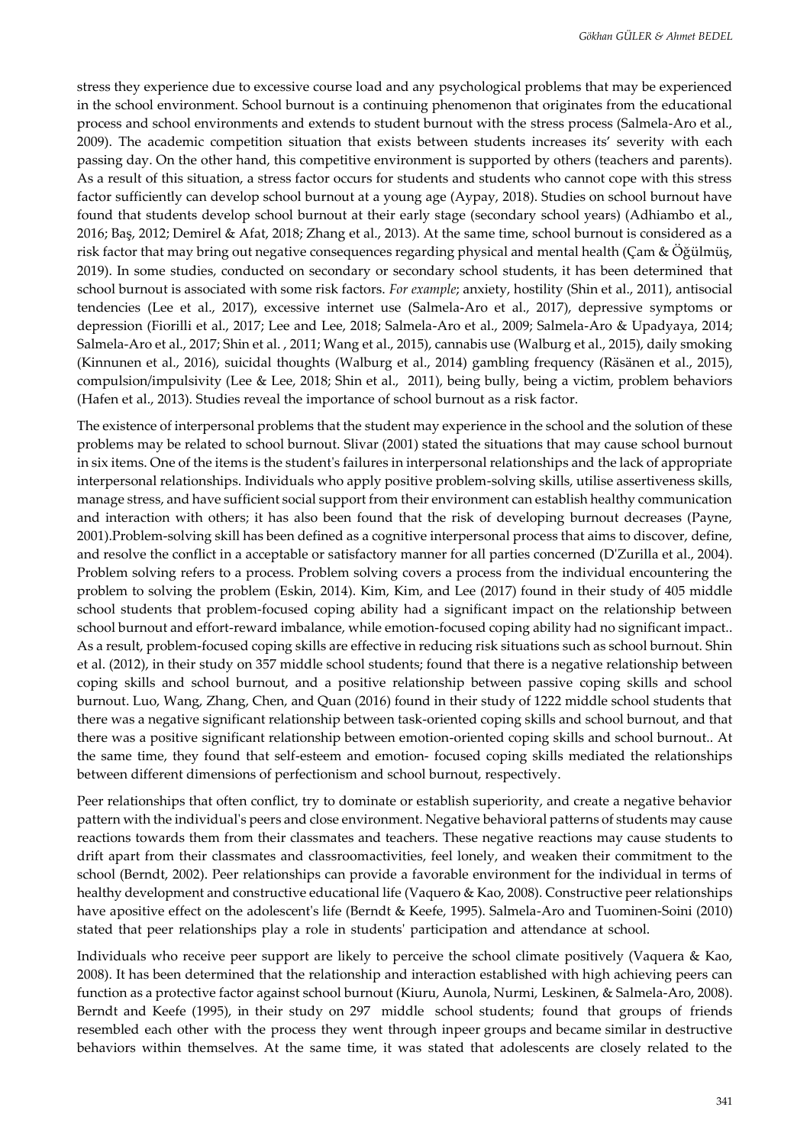stress they experience due to excessive course load and any psychological problems that may be experienced in the school environment. School burnout is a continuing phenomenon that originates from the educational process and school environments and extends to student burnout with the stress process (Salmela-Aro et al., 2009). The academic competition situation that exists between students increases its' severity with each passing day. On the other hand, this competitive environment is supported by others (teachers and parents). As a result of this situation, a stress factor occurs for students and students who cannot cope with this stress factor sufficiently can develop school burnout at a young age (Aypay, 2018). Studies on school burnout have found that students develop school burnout at their early stage (secondary school years) (Adhiambo et al., 2016; Baş, 2012; Demirel & Afat, 2018; Zhang et al., 2013). At the same time, school burnout is considered as a risk factor that may bring out negative consequences regarding physical and mental health (Çam & Öğülmüş, 2019). In some studies, conducted on secondary or secondary school students, it has been determined that school burnout is associated with some risk factors. *For example*; anxiety, hostility (Shin et al., 2011), antisocial tendencies (Lee et al., 2017), excessive internet use (Salmela-Aro et al., 2017), depressive symptoms or depression (Fiorilli et al., 2017; Lee and Lee, 2018; Salmela-Aro et al., 2009; Salmela-Aro & Upadyaya, 2014; Salmela-Aro et al., 2017; Shin et al. , 2011; Wang et al., 2015), cannabis use (Walburg et al., 2015), daily smoking (Kinnunen et al., 2016), suicidal thoughts (Walburg et al., 2014) gambling frequency (Räsänen et al., 2015), compulsion/impulsivity (Lee & Lee, 2018; Shin et al., 2011), being bully, being a victim, problem behaviors (Hafen et al., 2013). Studies reveal the importance of school burnout as a risk factor.

The existence of interpersonal problems that the student may experience in the school and the solution of these problems may be related to school burnout. Slivar (2001) stated the situations that may cause school burnout in six items. One of the items is the student's failures in interpersonal relationships and the lack of appropriate interpersonal relationships. Individuals who apply positive problem-solving skills, utilise assertiveness skills, manage stress, and have sufficient social support from their environment can establish healthy communication and interaction with others; it has also been found that the risk of developing burnout decreases (Payne, 2001).Problem-solving skill has been defined as a cognitive interpersonal process that aims to discover, define, and resolve the conflict in a acceptable or satisfactory manner for all parties concerned (D'Zurilla et al., 2004). Problem solving refers to a process. Problem solving covers a process from the individual encountering the problem to solving the problem (Eskin, 2014). Kim, Kim, and Lee (2017) found in their study of 405 middle school students that problem-focused coping ability had a significant impact on the relationship between school burnout and effort-reward imbalance, while emotion-focused coping ability had no significant impact.. As a result, problem-focused coping skills are effective in reducing risk situations such as school burnout. Shin et al. (2012), in their study on 357 middle school students; found that there is a negative relationship between coping skills and school burnout, and a positive relationship between passive coping skills and school burnout. Luo, Wang, Zhang, Chen, and Quan (2016) found in their study of 1222 middle school students that there was a negative significant relationship between task-oriented coping skills and school burnout, and that there was a positive significant relationship between emotion-oriented coping skills and school burnout.. At the same time, they found that self-esteem and emotion- focused coping skills mediated the relationships between different dimensions of perfectionism and school burnout, respectively.

Peer relationships that often conflict, try to dominate or establish superiority, and create a negative behavior pattern with the individual's peers and close environment. Negative behavioral patterns of students may cause reactions towards them from their classmates and teachers. These negative reactions may cause students to drift apart from their classmates and classroomactivities, feel lonely, and weaken their commitment to the school (Berndt, 2002). Peer relationships can provide a favorable environment for the individual in terms of healthy development and constructive educational life (Vaquero & Kao, 2008). Constructive peer relationships have apositive effect on the adolescent's life (Berndt & Keefe, 1995). Salmela-Aro and Tuominen-Soini (2010) stated that peer relationships play a role in students' participation and attendance at school.

Individuals who receive peer support are likely to perceive the school climate positively (Vaquera & Kao, 2008). It has been determined that the relationship and interaction established with high achieving peers can function as a protective factor against school burnout (Kiuru, Aunola, Nurmi, Leskinen, & Salmela-Aro, 2008). Berndt and Keefe (1995), in their study on 297 middle school students; found that groups of friends resembled each other with the process they went through inpeer groups and became similar in destructive behaviors within themselves. At the same time, it was stated that adolescents are closely related to the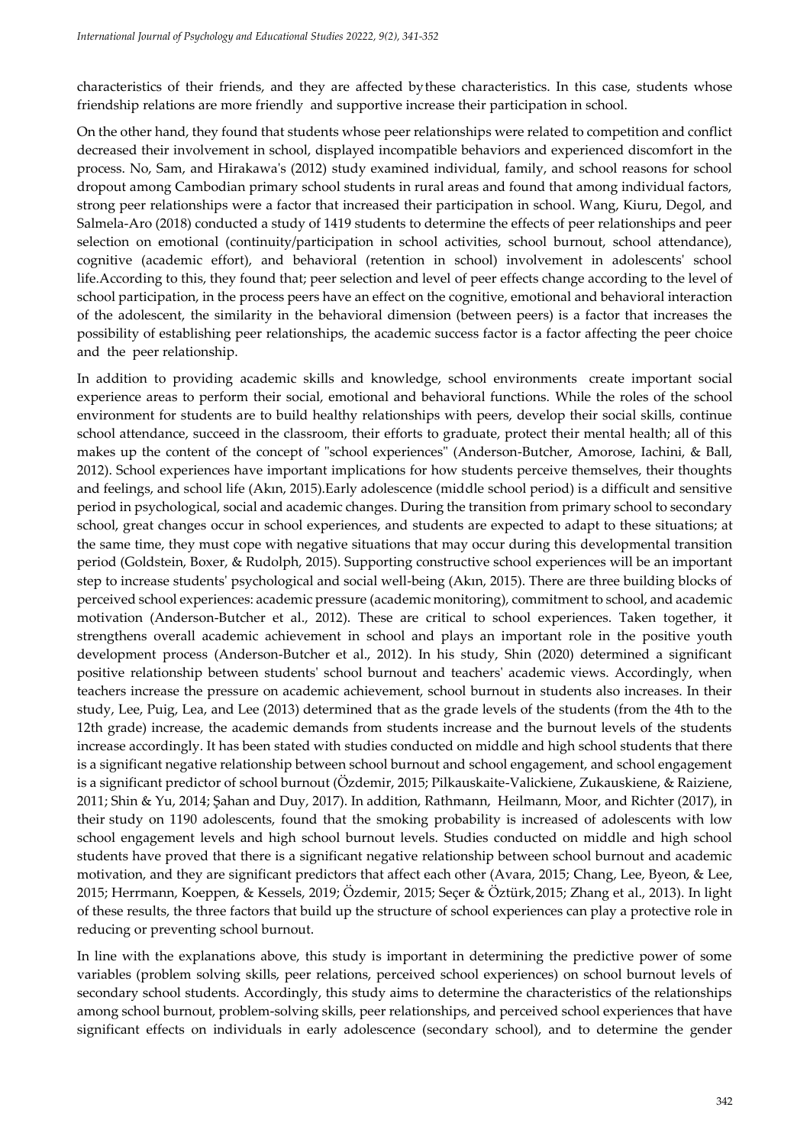characteristics of their friends, and they are affected bythese characteristics. In this case, students whose friendship relations are more friendly and supportive increase their participation in school.

On the other hand, they found that students whose peer relationships were related to competition and conflict decreased their involvement in school, displayed incompatible behaviors and experienced discomfort in the process. No, Sam, and Hirakawa's (2012) study examined individual, family, and school reasons for school dropout among Cambodian primary school students in rural areas and found that among individual factors, strong peer relationships were a factor that increased their participation in school. Wang, Kiuru, Degol, and Salmela-Aro (2018) conducted a study of 1419 students to determine the effects of peer relationships and peer selection on emotional (continuity/participation in school activities, school burnout, school attendance), cognitive (academic effort), and behavioral (retention in school) involvement in adolescents' school life.According to this, they found that; peer selection and level of peer effects change according to the level of school participation, in the process peers have an effect on the cognitive, emotional and behavioral interaction of the adolescent, the similarity in the behavioral dimension (between peers) is a factor that increases the possibility of establishing peer relationships, the academic success factor is a factor affecting the peer choice and the peer relationship.

In addition to providing academic skills and knowledge, school environments create important social experience areas to perform their social, emotional and behavioral functions. While the roles of the school environment for students are to build healthy relationships with peers, develop their social skills, continue school attendance, succeed in the classroom, their efforts to graduate, protect their mental health; all of this makes up the content of the concept of "school experiences" (Anderson-Butcher, Amorose, Iachini, & Ball, 2012). School experiences have important implications for how students perceive themselves, their thoughts and feelings, and school life (Akın, 2015).Early adolescence (middle school period) is a difficult and sensitive period in psychological, social and academic changes. During the transition from primary school to secondary school, great changes occur in school experiences, and students are expected to adapt to these situations; at the same time, they must cope with negative situations that may occur during this developmental transition period (Goldstein, Boxer, & Rudolph, 2015). Supporting constructive school experiences will be an important step to increase students' psychological and social well-being (Akın, 2015). There are three building blocks of perceived school experiences: academic pressure (academic monitoring), commitment to school, and academic motivation (Anderson-Butcher et al., 2012). These are critical to school experiences. Taken together, it strengthens overall academic achievement in school and plays an important role in the positive youth development process (Anderson-Butcher et al., 2012). In his study, Shin (2020) determined a significant positive relationship between students' school burnout and teachers' academic views. Accordingly, when teachers increase the pressure on academic achievement, school burnout in students also increases. In their study, Lee, Puig, Lea, and Lee (2013) determined that as the grade levels of the students (from the 4th to the 12th grade) increase, the academic demands from students increase and the burnout levels of the students increase accordingly. It has been stated with studies conducted on middle and high school students that there is a significant negative relationship between school burnout and school engagement, and school engagement is a significant predictor of school burnout (Özdemir, 2015; Pilkauskaite-Valickiene, Zukauskiene, & Raiziene, 2011; Shin & Yu, 2014; Şahan and Duy, 2017). In addition, Rathmann, Heilmann, Moor, and Richter (2017), in their study on 1190 adolescents, found that the smoking probability is increased of adolescents with low school engagement levels and high school burnout levels. Studies conducted on middle and high school students have proved that there is a significant negative relationship between school burnout and academic motivation, and they are significant predictors that affect each other (Avara, 2015; Chang, Lee, Byeon, & Lee, 2015; Herrmann, Koeppen, & Kessels, 2019; Özdemir, 2015; Seçer & Öztürk,2015; Zhang et al., 2013). In light of these results, the three factors that build up the structure of school experiences can play a protective role in reducing or preventing school burnout.

In line with the explanations above, this study is important in determining the predictive power of some variables (problem solving skills, peer relations, perceived school experiences) on school burnout levels of secondary school students. Accordingly, this study aims to determine the characteristics of the relationships among school burnout, problem-solving skills, peer relationships, and perceived school experiences that have significant effects on individuals in early adolescence (secondary school), and to determine the gender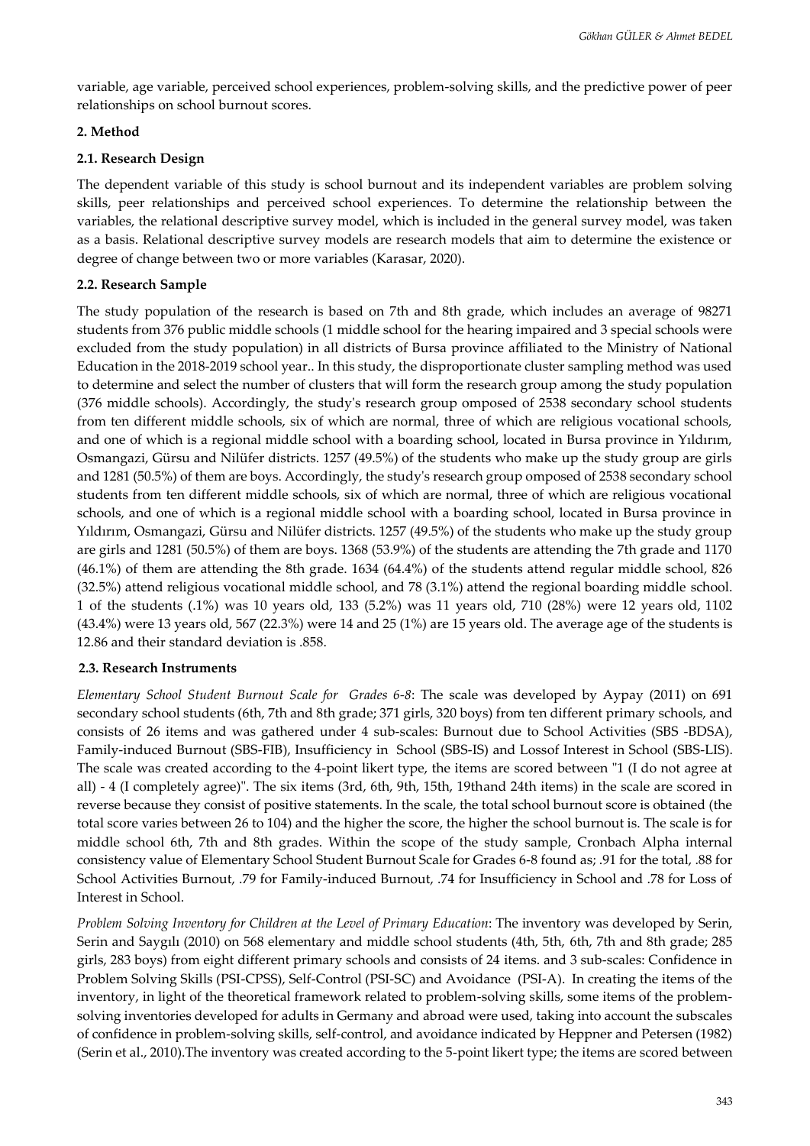variable, age variable, perceived school experiences, problem-solving skills, and the predictive power of peer relationships on school burnout scores.

## **2. Method**

## **2.1. Research Design**

The dependent variable of this study is school burnout and its independent variables are problem solving skills, peer relationships and perceived school experiences. To determine the relationship between the variables, the relational descriptive survey model, which is included in the general survey model, was taken as a basis. Relational descriptive survey models are research models that aim to determine the existence or degree of change between two or more variables (Karasar, 2020).

## **2.2. Research Sample**

The study population of the research is based on 7th and 8th grade, which includes an average of 98271 students from 376 public middle schools (1 middle school for the hearing impaired and 3 special schools were excluded from the study population) in all districts of Bursa province affiliated to the Ministry of National Education in the 2018-2019 school year.. In this study, the disproportionate cluster sampling method was used to determine and select the number of clusters that will form the research group among the study population (376 middle schools). Accordingly, the study's research group omposed of 2538 secondary school students from ten different middle schools, six of which are normal, three of which are religious vocational schools, and one of which is a regional middle school with a boarding school, located in Bursa province in Yıldırım, Osmangazi, Gürsu and Nilüfer districts. 1257 (49.5%) of the students who make up the study group are girls and 1281 (50.5%) of them are boys. Accordingly, the study's research group omposed of 2538 secondary school students from ten different middle schools, six of which are normal, three of which are religious vocational schools, and one of which is a regional middle school with a boarding school, located in Bursa province in Yıldırım, Osmangazi, Gürsu and Nilüfer districts. 1257 (49.5%) of the students who make up the study group are girls and 1281 (50.5%) of them are boys. 1368 (53.9%) of the students are attending the 7th grade and 1170 (46.1%) of them are attending the 8th grade. 1634 (64.4%) of the students attend regular middle school, 826 (32.5%) attend religious vocational middle school, and 78 (3.1%) attend the regional boarding middle school. 1 of the students (.1%) was 10 years old, 133 (5.2%) was 11 years old, 710 (28%) were 12 years old, 1102 (43.4%) were 13 years old, 567 (22.3%) were 14 and 25 (1%) are 15 years old. The average age of the students is 12.86 and their standard deviation is .858.

## **2.3. Research Instruments**

*Elementary School Student Burnout Scale for Grades 6-8*: The scale was developed by Aypay (2011) on 691 secondary school students (6th, 7th and 8th grade; 371 girls, 320 boys) from ten different primary schools, and consists of 26 items and was gathered under 4 sub-scales: Burnout due to School Activities (SBS -BDSA), Family-induced Burnout (SBS-FIB), Insufficiency in School (SBS-IS) and Lossof Interest in School (SBS-LIS). The scale was created according to the 4-point likert type, the items are scored between "1 (I do not agree at all) - 4 (I completely agree)". The six items (3rd, 6th, 9th, 15th, 19thand 24th items) in the scale are scored in reverse because they consist of positive statements. In the scale, the total school burnout score is obtained (the total score varies between 26 to 104) and the higher the score, the higher the school burnout is. The scale is for middle school 6th, 7th and 8th grades. Within the scope of the study sample, Cronbach Alpha internal consistency value of Elementary School Student Burnout Scale for Grades 6-8 found as; .91 for the total, .88 for School Activities Burnout, .79 for Family-induced Burnout, .74 for Insufficiency in School and .78 for Loss of Interest in School.

*Problem Solving Inventory for Children at the Level of Primary Education*: The inventory was developed by Serin, Serin and Saygılı (2010) on 568 elementary and middle school students (4th, 5th, 6th, 7th and 8th grade; 285 girls, 283 boys) from eight different primary schools and consists of 24 items. and 3 sub-scales: Confidence in Problem Solving Skills (PSI-CPSS), Self-Control (PSI-SC) and Avoidance (PSI-A). In creating the items of the inventory, in light of the theoretical framework related to problem-solving skills, some items of the problemsolving inventories developed for adults in Germany and abroad were used, taking into account the subscales of confidence in problem-solving skills, self-control, and avoidance indicated by Heppner and Petersen (1982) (Serin et al., 2010).The inventory was created according to the 5-point likert type; the items are scored between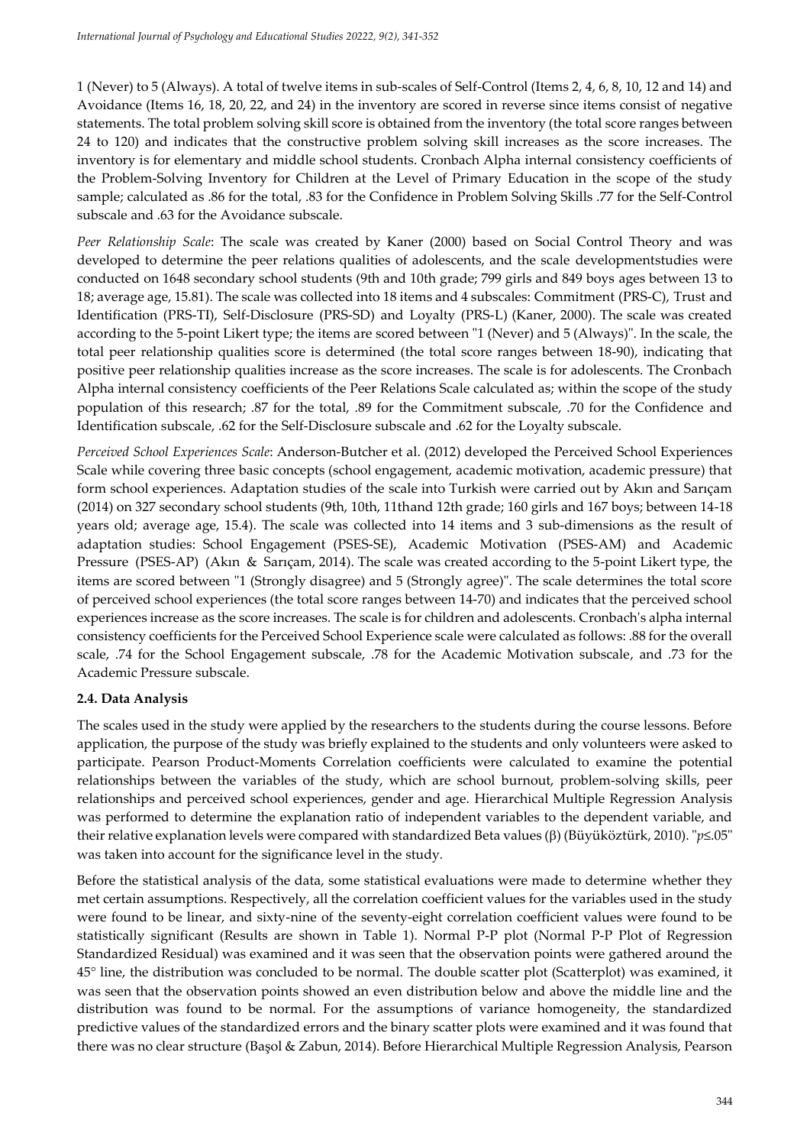1 (Never) to 5 (Always). A total of twelve items in sub-scales of Self-Control (Items 2, 4, 6, 8, 10, 12 and 14) and Avoidance (Items 16, 18, 20, 22, and 24) in the inventory are scored in reverse since items consist of negative statements. The total problem solving skill score is obtained from the inventory (the total score ranges between 24 to 120) and indicates that the constructive problem solving skill increases as the score increases. The inventory is for elementary and middle school students. Cronbach Alpha internal consistency coefficients of the Problem-Solving Inventory for Children at the Level of Primary Education in the scope of the study sample; calculated as .86 for the total, .83 for the Confidence in Problem Solving Skills .77 for the Self-Control subscale and .63 for the Avoidance subscale.

*Peer Relationship Scale*: The scale was created by Kaner (2000) based on Social Control Theory and was developed to determine the peer relations qualities of adolescents, and the scale developmentstudies were conducted on 1648 secondary school students (9th and 10th grade; 799 girls and 849 boys ages between 13 to 18; average age, 15.81). The scale was collected into 18 items and 4 subscales: Commitment (PRS-C), Trust and Identification (PRS-TI), Self-Disclosure (PRS-SD) and Loyalty (PRS-L) (Kaner, 2000). The scale was created according to the 5-point Likert type; the items are scored between "1 (Never) and 5 (Always)". In the scale, the total peer relationship qualities score is determined (the total score ranges between 18-90), indicating that positive peer relationship qualities increase as the score increases. The scale is for adolescents. The Cronbach Alpha internal consistency coefficients of the Peer Relations Scale calculated as; within the scope of the study population of this research; .87 for the total, .89 for the Commitment subscale, .70 for the Confidence and Identification subscale, .62 for the Self-Disclosure subscale and .62 for the Loyalty subscale.

*Perceived School Experiences Scale*: Anderson-Butcher et al. (2012) developed the Perceived School Experiences Scale while covering three basic concepts (school engagement, academic motivation, academic pressure) that form school experiences. Adaptation studies of the scale into Turkish were carried out by Akın and Sarıçam (2014) on 327 secondary school students (9th, 10th, 11thand 12th grade; 160 girls and 167 boys; between 14-18 years old; average age, 15.4). The scale was collected into 14 items and 3 sub-dimensions as the result of adaptation studies: School Engagement (PSES-SE), Academic Motivation (PSES-AM) and Academic Pressure (PSES-AP) (Akın & Sarıçam, 2014). The scale was created according to the 5-point Likert type, the items are scored between "1 (Strongly disagree) and 5 (Strongly agree)". The scale determines the total score of perceived school experiences (the total score ranges between 14-70) and indicates that the perceived school experiences increase as the score increases. The scale is for children and adolescents. Cronbach's alpha internal consistency coefficients for the Perceived School Experience scale were calculated as follows: .88 for the overall scale, .74 for the School Engagement subscale, .78 for the Academic Motivation subscale, and .73 for the Academic Pressure subscale.

## **2.4. Data Analysis**

The scales used in the study were applied by the researchers to the students during the course lessons. Before application, the purpose of the study was briefly explained to the students and only volunteers were asked to participate. Pearson Product-Moments Correlation coefficients were calculated to examine the potential relationships between the variables of the study, which are school burnout, problem-solving skills, peer relationships and perceived school experiences, gender and age. Hierarchical Multiple Regression Analysis was performed to determine the explanation ratio of independent variables to the dependent variable, and their relative explanation levels were compared with standardized Beta values (β) (Büyüköztürk, 2010). "*p*≤.05" was taken into account for the significance level in the study*.*

Before the statistical analysis of the data, some statistical evaluations were made to determine whether they met certain assumptions. Respectively, all the correlation coefficient values for the variables used in the study were found to be linear, and sixty-nine of the seventy-eight correlation coefficient values were found to be statistically significant (Results are shown in Table 1). Normal P-P plot (Normal P-P Plot of Regression Standardized Residual) was examined and it was seen that the observation points were gathered around the 45° line, the distribution was concluded to be normal. The double scatter plot (Scatterplot) was examined, it was seen that the observation points showed an even distribution below and above the middle line and the distribution was found to be normal. For the assumptions of variance homogeneity, the standardized predictive values of the standardized errors and the binary scatter plots were examined and it was found that there was no clear structure (Başol & Zabun, 2014). Before Hierarchical Multiple Regression Analysis, Pearson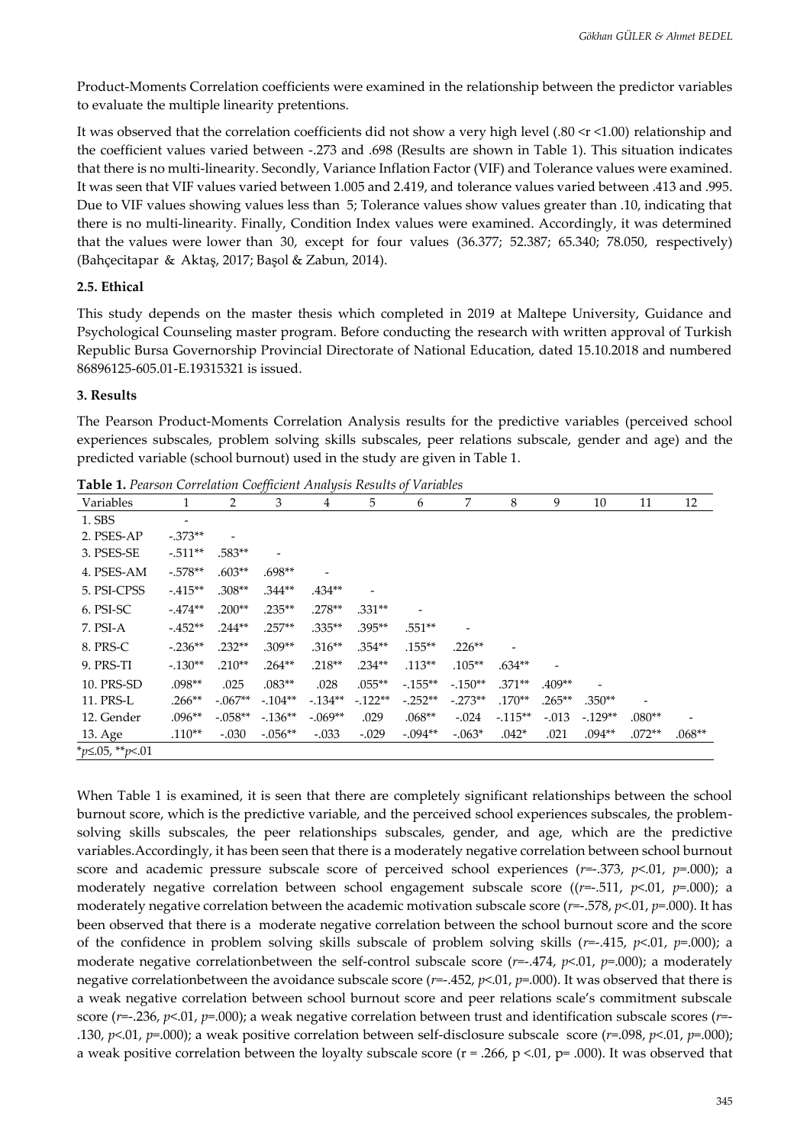Product-Moments Correlation coefficients were examined in the relationship between the predictor variables to evaluate the multiple linearity pretentions.

It was observed that the correlation coefficients did not show a very high level (.80 < r < 1.00) relationship and the coefficient values varied between -.273 and .698 (Results are shown in Table 1). This situation indicates that there is no multi-linearity. Secondly, Variance Inflation Factor (VIF) and Tolerance values were examined. It was seen that VIF values varied between 1.005 and 2.419, and tolerance values varied between .413 and .995. Due to VIF values showing values less than 5; Tolerance values show values greater than .10, indicating that there is no multi-linearity. Finally, Condition Index values were examined. Accordingly, it was determined that the values were lower than 30, except for four values (36.377; 52.387; 65.340; 78.050, respectively) (Bahçecitapar & Aktaş, 2017; Başol & Zabun, 2014).

### **2.5. Ethical**

This study depends on the master thesis which completed in 2019 at Maltepe University, Guidance and Psychological Counseling master program. Before conducting the research with written approval of Turkish Republic Bursa Governorship Provincial Directorate of National Education, dated 15.10.2018 and numbered 86896125-605.01-E.19315321 is issued.

#### **3. Results**

The Pearson Product-Moments Correlation Analysis results for the predictive variables (perceived school experiences subscales, problem solving skills subscales, peer relations subscale, gender and age) and the predicted variable (school burnout) used in the study are given in Table 1.

|                         |                          |            | ັ         | ◡         |          |           |                          |          |          |          |          |          |
|-------------------------|--------------------------|------------|-----------|-----------|----------|-----------|--------------------------|----------|----------|----------|----------|----------|
| Variables               |                          | 2          | 3         | 4         | 5        | 6         | 7                        | 8        | 9        | 10       | 11       | 12       |
| 1. SBS                  | $\overline{\phantom{a}}$ |            |           |           |          |           |                          |          |          |          |          |          |
| 2. PSES-AP              | $-0.373**$               | ٠          |           |           |          |           |                          |          |          |          |          |          |
| 3. PSES-SE              | $-0.511**$               | $.583**$   |           |           |          |           |                          |          |          |          |          |          |
| 4. PSES-AM              | $-.578**$                | $.603**$   | $.698**$  |           |          |           |                          |          |          |          |          |          |
| 5. PSI-CPSS             | $-415**$                 | $.308**$   | $.344**$  | $.434**$  |          |           |                          |          |          |          |          |          |
| 6. PSI-SC               | $-474**$                 | $.200**$   | $.235**$  | $.278**$  | $.331**$ |           |                          |          |          |          |          |          |
| 7. PSI-A                | $-452**$                 | $.244**$   | $.257**$  | $.335**$  | $.395**$ | $.551**$  | $\overline{\phantom{0}}$ |          |          |          |          |          |
| 8. PRS-C                | $-.236**$                | $.232**$   | $.309**$  | $.316**$  | $.354**$ | $.155***$ | $.226**$                 |          |          |          |          |          |
| 9. PRS-TI               | $-130**$                 | $.210**$   | $.264**$  | $.218**$  | $.234**$ | $.113**$  | $.105**$                 | $.634**$ |          |          |          |          |
| 10. PRS-SD              | $.098**$                 | .025       | $.083**$  | .028      | $.055**$ | $-155**$  | $-150**$                 | $.371**$ | $.409**$ |          |          |          |
| 11. PRS-L               | $.266**$                 | $-0.067**$ | $-104**$  | $-134**$  | $-122**$ | $-.252**$ | $-273**$                 | $.170**$ | $.265**$ | $.350**$ |          |          |
| 12. Gender              | $.096**$                 | $-.058**$  | $-136**$  | $-.069**$ | .029     | $.068**$  | $-.024$                  | $-115**$ | $-.013$  | $-129**$ | $.080**$ |          |
| 13. Age                 | $.110**$                 | $-.030$    | $-.056**$ | $-.033$   | $-.029$  | $-.094**$ | $-.063*$                 | $.042*$  | .021     | $.094**$ | $.072**$ | $.068**$ |
| * $p$ ≤.05, ** $p$ <.01 |                          |            |           |           |          |           |                          |          |          |          |          |          |

**Table 1.** *Pearson Correlation Coefficient Analysis Results of Variables*

When Table 1 is examined, it is seen that there are completely significant relationships between the school burnout score, which is the predictive variable, and the perceived school experiences subscales, the problemsolving skills subscales, the peer relationships subscales, gender, and age, which are the predictive variables.Accordingly, it has been seen that there is a moderately negative correlation between school burnout score and academic pressure subscale score of perceived school experiences (*r*=-.373, *p*<.01, *p*=.000); a moderately negative correlation between school engagement subscale score ((*r*=-.511, *p*<.01, *p*=.000); a moderately negative correlation between the academic motivation subscale score (*r*=-.578, *p*<.01, *p*=.000). It has been observed that there is a moderate negative correlation between the school burnout score and the score of the confidence in problem solving skills subscale of problem solving skills (*r*=-.415, *p*<.01, *p*=.000); a moderate negative correlationbetween the self-control subscale score (*r*=-.474, *p*<.01, *p*=.000); a moderately negative correlationbetween the avoidance subscale score (*r*=-.452, *p*<.01, *p*=.000). It was observed that there is a weak negative correlation between school burnout score and peer relations scale's commitment subscale score (*r*=-.236, *p*<.01, *p*=.000); a weak negative correlation between trust and identification subscale scores (*r*=- .130, *p*<.01, *p*=.000); a weak positive correlation between self-disclosure subscale score (*r*=.098, *p*<.01, *p*=.000); a weak positive correlation between the loyalty subscale score ( $r = .266$ ,  $p < .01$ ,  $p = .000$ ). It was observed that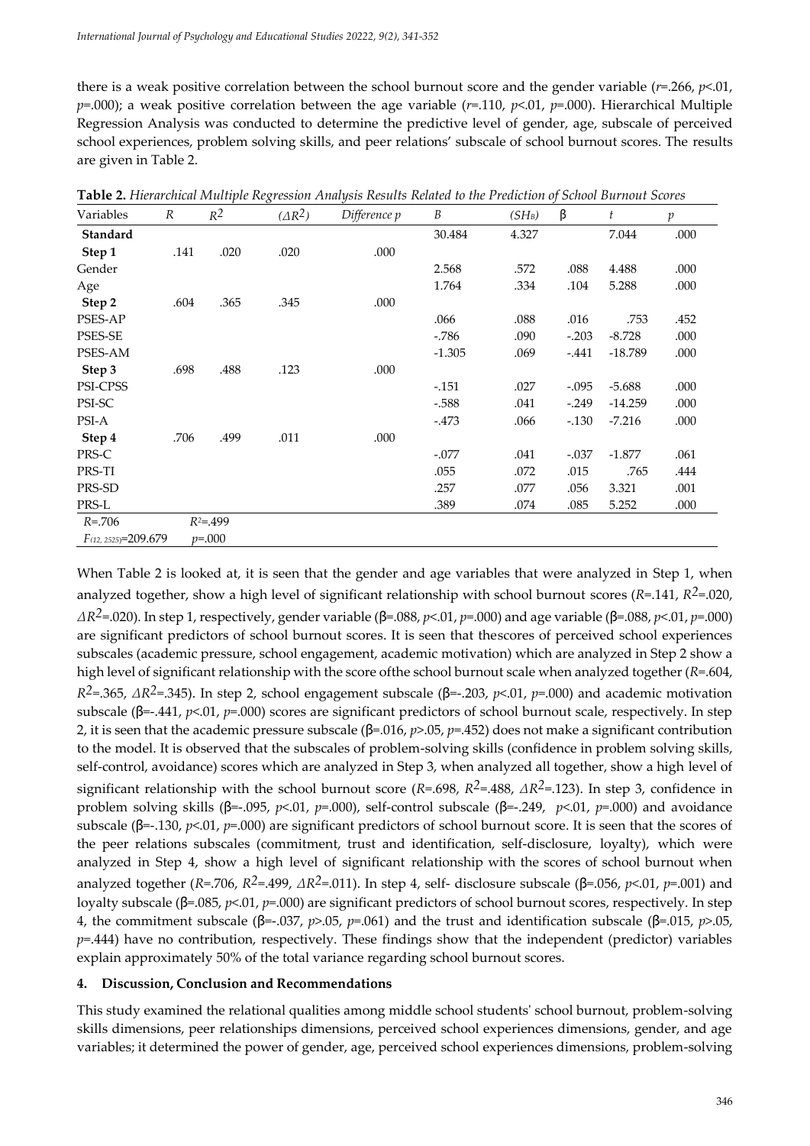there is a weak positive correlation between the school burnout score and the gender variable (*r*=.266, *p*<.01, *p*=.000); a weak positive correlation between the age variable (*r*=.110, *p*<.01, *p*=.000). Hierarchical Multiple Regression Analysis was conducted to determine the predictive level of gender, age, subscale of perceived school experiences, problem solving skills, and peer relations' subscale of school burnout scores. The results are given in Table 2.

| Variables               | $\cal R$ | $R^2$       | $(\Delta R^2)$ | Difference p | B        | $(SH_B)$ | β       | t         | $\mathfrak p$ |
|-------------------------|----------|-------------|----------------|--------------|----------|----------|---------|-----------|---------------|
| Standard                |          |             |                |              | 30.484   | 4.327    |         | 7.044     | .000          |
| Step 1                  | .141     | .020        | .020           | .000         |          |          |         |           |               |
| Gender                  |          |             |                |              | 2.568    | .572     | .088    | 4.488     | .000          |
| Age                     |          |             |                |              | 1.764    | .334     | .104    | 5.288     | .000          |
| Step 2                  | .604     | .365        | .345           | .000         |          |          |         |           |               |
| <b>PSES-AP</b>          |          |             |                |              | .066     | .088     | .016    | .753      | .452          |
| <b>PSES-SE</b>          |          |             |                |              | $-786$   | .090     | $-.203$ | $-8.728$  | .000          |
| PSES-AM                 |          |             |                |              | $-1.305$ | .069     | $-.441$ | $-18.789$ | .000          |
| Step 3                  | .698     | .488        | .123           | .000         |          |          |         |           |               |
| PSI-CPSS                |          |             |                |              | $-.151$  | .027     | $-.095$ | $-5.688$  | .000          |
| PSI-SC                  |          |             |                |              | $-588$   | .041     | $-.249$ | $-14.259$ | .000          |
| PSI-A                   |          |             |                |              | $-.473$  | .066     | $-.130$ | $-7.216$  | .000          |
| Step 4                  | .706     | .499        | .011           | .000         |          |          |         |           |               |
| PRS-C                   |          |             |                |              | $-.077$  | .041     | $-.037$ | $-1.877$  | .061          |
| PRS-TI                  |          |             |                |              | .055     | .072     | .015    | .765      | .444          |
| PRS-SD                  |          |             |                |              | .257     | .077     | .056    | 3.321     | .001          |
| PRS-L                   |          |             |                |              | .389     | .074     | .085    | 5.252     | .000          |
| $R = 706$               |          | $R^2 = 499$ |                |              |          |          |         |           |               |
| $F(12, 2525) = 209.679$ |          | $p = 0.000$ |                |              |          |          |         |           |               |

**Table 2.** *Hierarchical Multiple Regression Analysis Results Related to the Prediction of School Burnout Scores*

When Table 2 is looked at, it is seen that the gender and age variables that were analyzed in Step 1, when analyzed together, show a high level of significant relationship with school burnout scores (*R*=.141, *R2*=.020, *∆R*<sup>2</sup>=.020). In step 1, respectively, gender variable (β=.088, *p*<.01, *p*=.000) and age variable (β=.088, *p*<.01, *p*=.000) are significant predictors of school burnout scores. It is seen that thescores of perceived school experiences subscales (academic pressure, school engagement, academic motivation) which are analyzed in Step 2 show a high level of significant relationship with the score ofthe school burnout scale when analyzed together (*R*=.604, *R2*=.365, *∆R2*=.345). In step 2, school engagement subscale (ꞵ=-.203, *p*<.01, *p*=.000) and academic motivation subscale ( $\beta$ =-.441, *p*<.01, *p*=.000) scores are significant predictors of school burnout scale, respectively. In step 2, it is seen that the academic pressure subscale  $(\beta = .016, p > .05, p = .452)$  does not make a significant contribution to the model. It is observed that the subscales of problem-solving skills (confidence in problem solving skills, self-control, avoidance) scores which are analyzed in Step 3, when analyzed all together, show a high level of significant relationship with the school burnout score (*R*=.698, *R2*=.488, *∆R2*=.123). In step 3, confidence in problem solving skills ( $\beta$ =-.095, *p*<.01, *p*=.000), self-control subscale ( $\beta$ =-.249, *p*<.01, *p*=.000) and avoidance subscale ( $\beta$ =-.130, *p*<.01, *p*=.000) are significant predictors of school burnout score. It is seen that the scores of the peer relations subscales (commitment, trust and identification, self-disclosure, loyalty), which were analyzed in Step 4, show a high level of significant relationship with the scores of school burnout when analyzed together (*R*=.706, *R*<sup>2</sup>=.499, *ΔR*<sup>2</sup>=.011). In step 4, self- disclosure subscale (β=.056, *p*<.01, *p*=.001) and loyalty subscale (β=.085, *p* < 01, *p*=.000) are significant predictors of school burnout scores, respectively. In step 4, the commitment subscale ( $\beta$ =-.037,  $p$ >.05,  $p$ =.061) and the trust and identification subscale ( $\beta$ =.015,  $p$ >.05, *p*=.444) have no contribution, respectively. These findings show that the independent (predictor) variables explain approximately 50% of the total variance regarding school burnout scores.

#### **4. Discussion, Conclusion and Recommendations**

This study examined the relational qualities among middle school students' school burnout, problem-solving skills dimensions, peer relationships dimensions, perceived school experiences dimensions, gender, and age variables; it determined the power of gender, age, perceived school experiences dimensions, problem-solving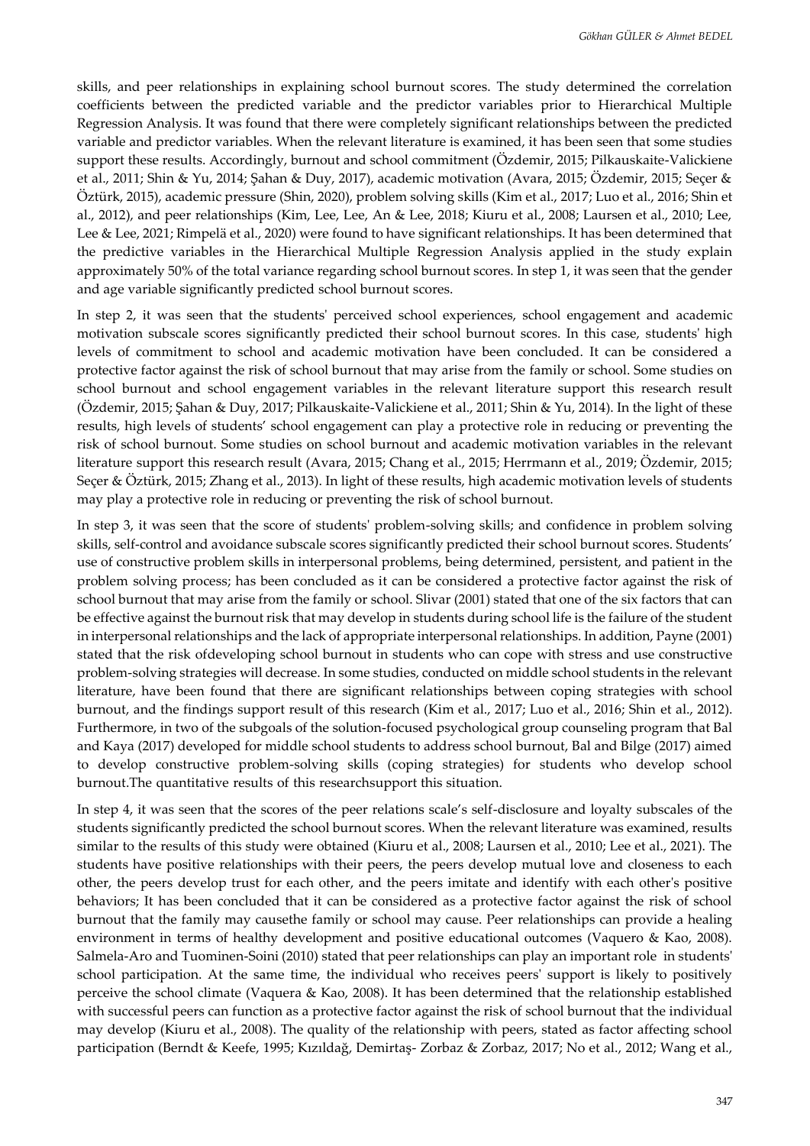skills, and peer relationships in explaining school burnout scores. The study determined the correlation coefficients between the predicted variable and the predictor variables prior to Hierarchical Multiple Regression Analysis. It was found that there were completely significant relationships between the predicted variable and predictor variables. When the relevant literature is examined, it has been seen that some studies support these results. Accordingly, burnout and school commitment (Özdemir, 2015; Pilkauskaite-Valickiene et al., 2011; Shin & Yu, 2014; Şahan & Duy, 2017), academic motivation (Avara, 2015; Özdemir, 2015; Seçer & Öztürk, 2015), academic pressure (Shin, 2020), problem solving skills (Kim et al., 2017; Luo et al., 2016; Shin et al., 2012), and peer relationships (Kim, Lee, Lee, An & Lee, 2018; Kiuru et al., 2008; Laursen et al., 2010; Lee, Lee & Lee, 2021; Rimpelä et al., 2020) were found to have significant relationships. It has been determined that the predictive variables in the Hierarchical Multiple Regression Analysis applied in the study explain approximately 50% of the total variance regarding school burnout scores. In step 1, it was seen that the gender and age variable significantly predicted school burnout scores.

In step 2, it was seen that the students' perceived school experiences, school engagement and academic motivation subscale scores significantly predicted their school burnout scores. In this case, students' high levels of commitment to school and academic motivation have been concluded. It can be considered a protective factor against the risk of school burnout that may arise from the family or school. Some studies on school burnout and school engagement variables in the relevant literature support this research result (Özdemir, 2015; Şahan & Duy, 2017; Pilkauskaite-Valickiene et al., 2011; Shin & Yu, 2014). In the light of these results, high levels of students' school engagement can play a protective role in reducing or preventing the risk of school burnout. Some studies on school burnout and academic motivation variables in the relevant literature support this research result (Avara, 2015; Chang et al., 2015; Herrmann et al., 2019; Özdemir, 2015; Seçer & Öztürk, 2015; Zhang et al., 2013). In light of these results, high academic motivation levels of students may play a protective role in reducing or preventing the risk of school burnout.

In step 3, it was seen that the score of students' problem-solving skills; and confidence in problem solving skills, self-control and avoidance subscale scores significantly predicted their school burnout scores. Students' use of constructive problem skills in interpersonal problems, being determined, persistent, and patient in the problem solving process; has been concluded as it can be considered a protective factor against the risk of school burnout that may arise from the family or school. Slivar (2001) stated that one of the six factors that can be effective against the burnout risk that may develop in students during school life is the failure of the student in interpersonal relationships and the lack of appropriate interpersonal relationships. In addition, Payne (2001) stated that the risk ofdeveloping school burnout in students who can cope with stress and use constructive problem-solving strategies will decrease. In some studies, conducted on middle school students in the relevant literature, have been found that there are significant relationships between coping strategies with school burnout, and the findings support result of this research (Kim et al., 2017; Luo et al., 2016; Shin et al., 2012). Furthermore, in two of the subgoals of the solution-focused psychological group counseling program that Bal and Kaya (2017) developed for middle school students to address school burnout, Bal and Bilge (2017) aimed to develop constructive problem-solving skills (coping strategies) for students who develop school burnout.The quantitative results of this researchsupport this situation.

In step 4, it was seen that the scores of the peer relations scale's self-disclosure and loyalty subscales of the students significantly predicted the school burnout scores. When the relevant literature was examined, results similar to the results of this study were obtained (Kiuru et al., 2008; Laursen et al., 2010; Lee et al., 2021). The students have positive relationships with their peers, the peers develop mutual love and closeness to each other, the peers develop trust for each other, and the peers imitate and identify with each other's positive behaviors; It has been concluded that it can be considered as a protective factor against the risk of school burnout that the family may causethe family or school may cause. Peer relationships can provide a healing environment in terms of healthy development and positive educational outcomes (Vaquero & Kao, 2008). Salmela-Aro and Tuominen-Soini (2010) stated that peer relationships can play an important role in students' school participation. At the same time, the individual who receives peers' support is likely to positively perceive the school climate (Vaquera & Kao, 2008). It has been determined that the relationship established with successful peers can function as a protective factor against the risk of school burnout that the individual may develop (Kiuru et al., 2008). The quality of the relationship with peers, stated as factor affecting school participation (Berndt & Keefe, 1995; Kızıldağ, Demirtaş- Zorbaz & Zorbaz, 2017; No et al., 2012; Wang et al.,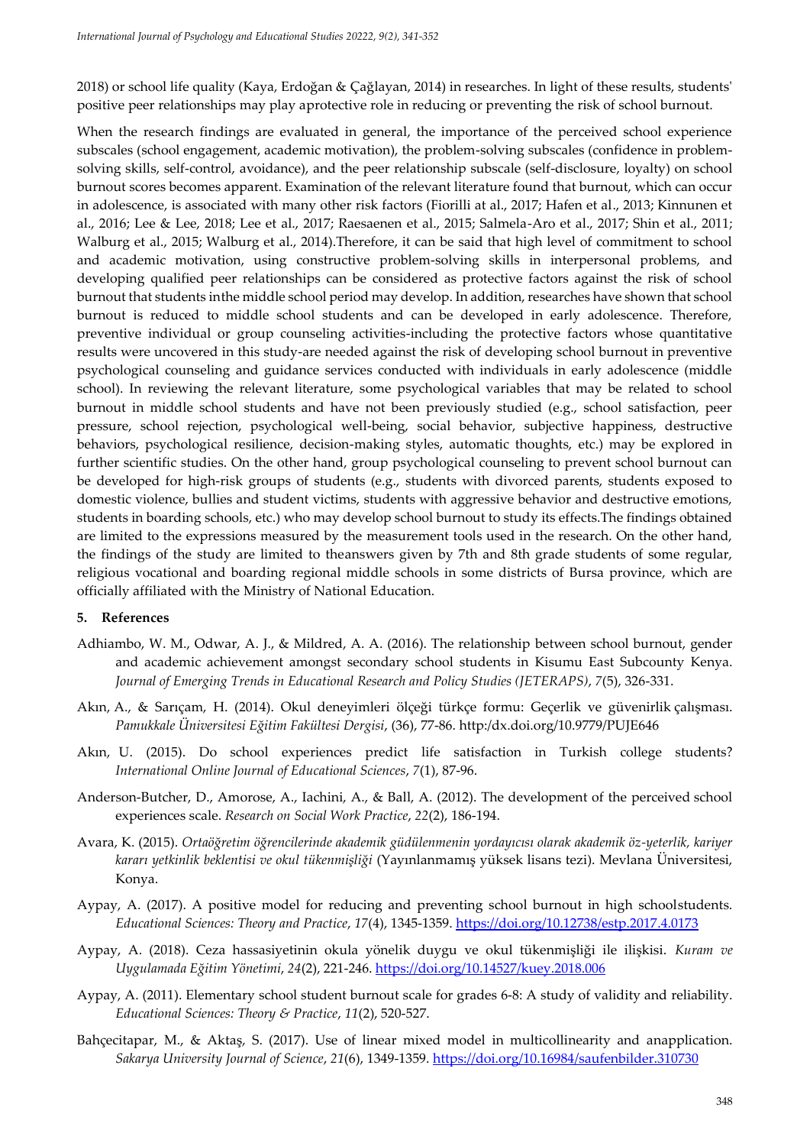2018) or school life quality (Kaya, Erdoğan & Çağlayan, 2014) in researches. In light of these results, students' positive peer relationships may play aprotective role in reducing or preventing the risk of school burnout.

When the research findings are evaluated in general, the importance of the perceived school experience subscales (school engagement, academic motivation), the problem-solving subscales (confidence in problemsolving skills, self-control, avoidance), and the peer relationship subscale (self-disclosure, loyalty) on school burnout scores becomes apparent. Examination of the relevant literature found that burnout, which can occur in adolescence, is associated with many other risk factors (Fiorilli at al., 2017; Hafen et al., 2013; Kinnunen et al., 2016; Lee & Lee, 2018; Lee et al., 2017; Raesaenen et al., 2015; Salmela-Aro et al., 2017; Shin et al., 2011; Walburg et al., 2015; Walburg et al., 2014).Therefore, it can be said that high level of commitment to school and academic motivation, using constructive problem-solving skills in interpersonal problems, and developing qualified peer relationships can be considered as protective factors against the risk of school burnout that students inthe middle school period may develop. In addition, researches have shown that school burnout is reduced to middle school students and can be developed in early adolescence. Therefore, preventive individual or group counseling activities-including the protective factors whose quantitative results were uncovered in this study-are needed against the risk of developing school burnout in preventive psychological counseling and guidance services conducted with individuals in early adolescence (middle school). In reviewing the relevant literature, some psychological variables that may be related to school burnout in middle school students and have not been previously studied (e.g., school satisfaction, peer pressure, school rejection, psychological well-being, social behavior, subjective happiness, destructive behaviors, psychological resilience, decision-making styles, automatic thoughts, etc.) may be explored in further scientific studies. On the other hand, group psychological counseling to prevent school burnout can be developed for high-risk groups of students (e.g., students with divorced parents, students exposed to domestic violence, bullies and student victims, students with aggressive behavior and destructive emotions, students in boarding schools, etc.) who may develop school burnout to study its effects.The findings obtained are limited to the expressions measured by the measurement tools used in the research. On the other hand, the findings of the study are limited to theanswers given by 7th and 8th grade students of some regular, religious vocational and boarding regional middle schools in some districts of Bursa province, which are officially affiliated with the Ministry of National Education.

#### **5. References**

- Adhiambo, W. M., Odwar, A. J., & Mildred, A. A. (2016). The relationship between school burnout, gender and academic achievement amongst secondary school students in Kisumu East Subcounty Kenya. *Journal of Emerging Trends in Educational Research and Policy Studies (JETERAPS)*, *7*(5), 326-331.
- Akın, A., & Sarıçam, H. (2014). Okul deneyimleri ölçeği türkçe formu: Geçerlik ve güvenirlik çalışması. *Pamukkale Üniversitesi Eğitim Fakültesi Dergisi*, (36), 77-86. http:/dx.doi.org/10.9779/PUJE646
- Akın, U. (2015). Do school experiences predict life satisfaction in Turkish college students? *International Online Journal of Educational Sciences*, *7*(1), 87-96.
- Anderson-Butcher, D., Amorose, A., Iachini, A., & Ball, A. (2012). The development of the perceived school experiences scale. *Research on Social Work Practice*, *22*(2), 186-194.
- Avara, K. (2015). *Ortaöğretim öğrencilerinde akademik güdülenmenin yordayıcısı olarak akademik öz-yeterlik, kariyer kararı yetkinlik beklentisi ve okul tükenmişliği* (Yayınlanmamış yüksek lisans tezi). Mevlana Üniversitesi, Konya.
- Aypay, A. (2017). A positive model for reducing and preventing school burnout in high schoolstudents. *Educational Sciences: Theory and Practice*, *17*(4), 1345-1359.<https://doi.org/10.12738/estp.2017.4.0173>
- Aypay, A. (2018). Ceza hassasiyetinin okula yönelik duygu ve okul tükenmişliği ile ilişkisi. *Kuram ve Uygulamada Eğitim Yönetimi*, *24*(2), 221-246. <https://doi.org/10.14527/kuey.2018.006>
- Aypay, A. (2011). Elementary school student burnout scale for grades 6-8: A study of validity and reliability. *Educational Sciences: Theory & Practice*, *11*(2), 520-527.
- Bahçecitapar, M., & Aktaş, S. (2017). Use of linear mixed model in multicollinearity and anapplication. *Sakarya University Journal of Science*, *21*(6), 1349-1359.<https://doi.org/10.16984/saufenbilder.310730>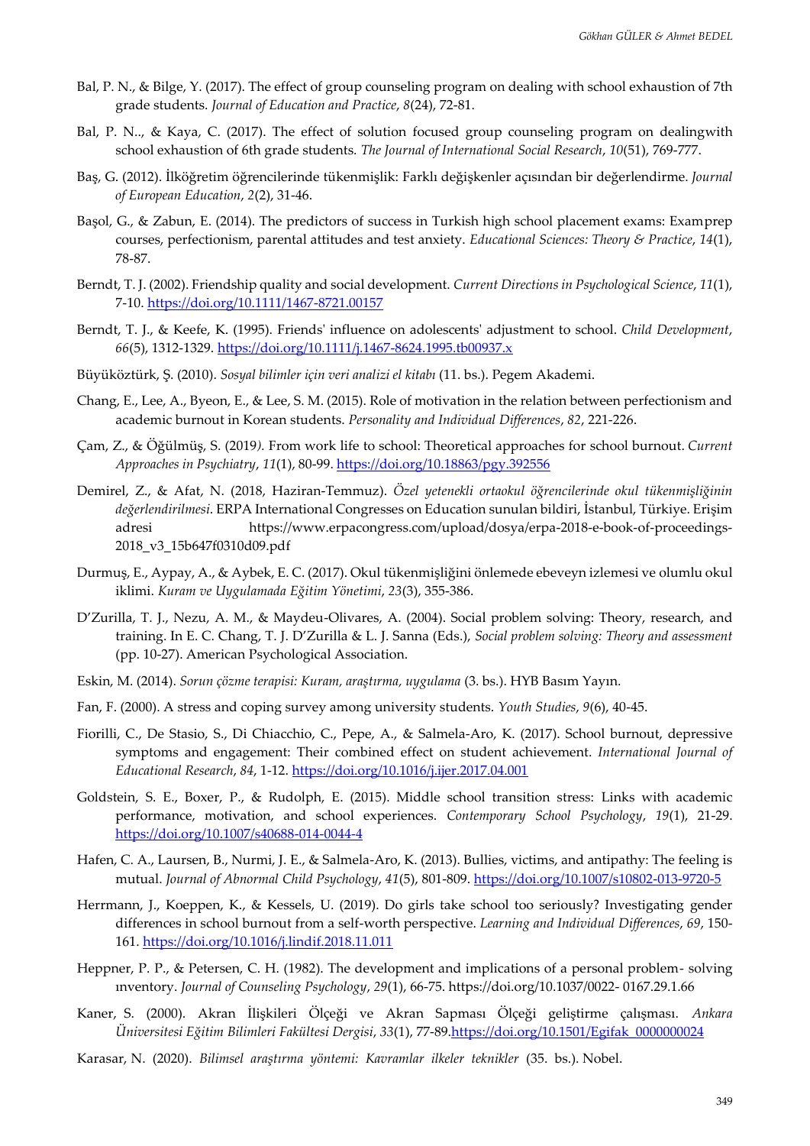- Bal, P. N., & Bilge, Y. (2017). The effect of group counseling program on dealing with school exhaustion of 7th grade students. *Journal of Education and Practice*, *8*(24), 72-81.
- Bal, P. N.., & Kaya, C. (2017). The effect of solution focused group counseling program on dealingwith school exhaustion of 6th grade students. *The Journal of International Social Research*, *10*(51), 769-777.
- Baş, G. (2012). İlköğretim öğrencilerinde tükenmişlik: Farklı değişkenler açısından bir değerlendirme. *Journal of European Education*, *2*(2), 31-46.
- Başol, G., & Zabun, E. (2014). The predictors of success in Turkish high school placement exams: Examprep courses, perfectionism, parental attitudes and test anxiety. *Educational Sciences: Theory & Practice*, *14*(1), 78-87.
- Berndt, T. J. (2002). Friendship quality and social development. *Current Directions in Psychological Science*, *11*(1), 7-10. <https://doi.org/10.1111/1467-8721.00157>
- Berndt, T. J., & Keefe, K. (1995). Friends' influence on adolescents' adjustment to school. *Child Development*, *66*(5), 1312-1329.<https://doi.org/10.1111/j.1467-8624.1995.tb00937.x>
- Büyüköztürk, Ş. (2010). *Sosyal bilimler için veri analizi el kitabı* (11. bs.). Pegem Akademi.
- Chang, E., Lee, A., Byeon, E., & Lee, S. M. (2015). Role of motivation in the relation between perfectionism and academic burnout in Korean students. *Personality and Individual Differences*, *82*, 221-226.
- Çam, Z., & Öğülmüş, S. (2019*).* From work life to school: Theoretical approaches for school burnout. *Current Approaches in Psychiatry*, *11*(1), 80-99. <https://doi.org/10.18863/pgy.392556>
- Demirel, Z., & Afat, N. (2018, Haziran-Temmuz). *Özel yetenekli ortaokul öğrencilerinde okul tükenmişliğinin değerlendirilmesi*. ERPA International Congresses on Education sunulan bildiri, İstanbul, Türkiye. Erişim adresi [https://www.erpacongress.com/upload/dosya/erpa-2018-e-book-of-proceedings-](https://www.erpacongress.com/upload/dosya/erpa-2018-e-%09book-of-proceedings-2018_v3_15b647f0310d09.pdf)[2018\\_v3\\_15b647f0310d09.pdf](https://www.erpacongress.com/upload/dosya/erpa-2018-e-%09book-of-proceedings-2018_v3_15b647f0310d09.pdf)
- Durmuş, E., Aypay, A., & Aybek, E. C. (2017). Okul tükenmişliğini önlemede ebeveyn izlemesi ve olumlu okul iklimi. *Kuram ve Uygulamada Eğitim Yönetimi*, *23*(3), 355-386.
- D'Zurilla, T. J., Nezu, A. M., & Maydeu-Olivares, A. (2004). Social problem solving: Theory, research, and training. In E. C. Chang, T. J. D'Zurilla & L. J. Sanna (Eds.), *Social problem solving: Theory and assessment*  (pp. 10-27). American Psychological Association.
- Eskin, M. (2014). *Sorun çözme terapisi: Kuram, araştırma, uygulama* (3. bs.). HYB Basım Yayın.
- Fan, F. (2000). A stress and coping survey among university students. *Youth Studies*, *9*(6), 40-45.
- Fiorilli, C., De Stasio, S., Di Chiacchio, C., Pepe, A., & Salmela-Aro, K. (2017). School burnout, depressive symptoms and engagement: Their combined effect on student achievement. *International Journal of Educational Research*, *84*, 1-12. <https://doi.org/10.1016/j.ijer.2017.04.001>
- Goldstein, S. E., Boxer, P., & Rudolph, E. (2015). Middle school transition stress: Links with academic performance, motivation, and school experiences. *Contemporary School Psychology*, *19*(1), 21-29. <https://doi.org/10.1007/s40688-014-0044-4>
- Hafen, C. A., Laursen, B., Nurmi, J. E., & Salmela-Aro, K. (2013). Bullies, victims, and antipathy: The feeling is mutual. *Journal of Abnormal Child Psychology*, *41*(5), 801-809. <https://doi.org/10.1007/s10802-013-9720-5>
- Herrmann, J., Koeppen, K., & Kessels, U. (2019). Do girls take school too seriously? Investigating gender differences in school burnout from a self-worth perspective. *Learning and Individual Differences*, *69*, 150- 161.<https://doi.org/10.1016/j.lindif.2018.11.011>
- Heppner, P. P., & Petersen, C. H. (1982). The development and implications of a personal problem- solving ınventory. *Journal of Counseling Psychology*, *29*(1), 66-75. [https://doi.org/10.1037/0022-](https://doi.org/10.1037/0022-%090167.29.1.66) [0167.29.1.66](https://doi.org/10.1037/0022-%090167.29.1.66)
- Kaner, S. (2000). Akran İlişkileri Ölçeği ve Akran Sapması Ölçeği geliştirme çalışması. *Ankara Üniversitesi Eğitim Bilimleri Fakültesi Dergisi*, *33*(1), 77-89[.https://doi.org/10.1501/Egifak\\_0000000024](https://doi.org/10.1501/Egifak_0000000024)
- Karasar, N. (2020). *Bilimsel araştırma yöntemi: Kavramlar ilkeler teknikler* (35. bs.). Nobel.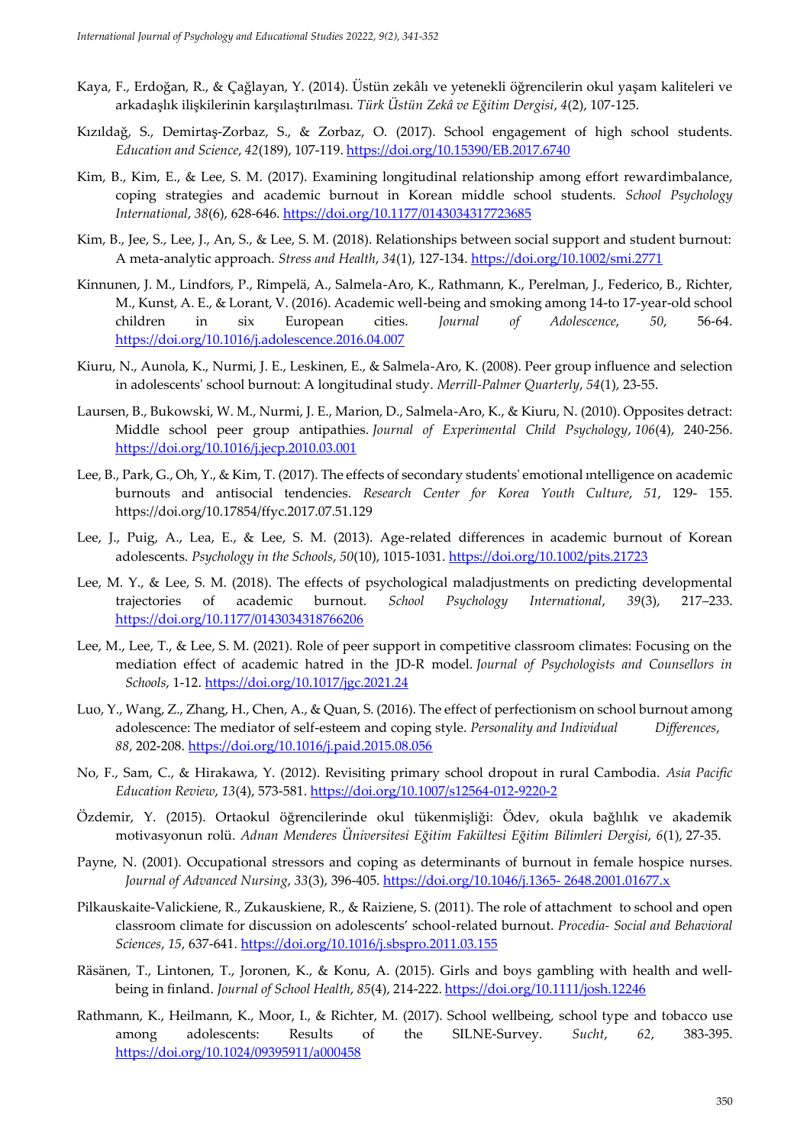- Kaya, F., Erdoğan, R., & Çağlayan, Y. (2014). Üstün zekâlı ve yetenekli öğrencilerin okul yaşam kaliteleri ve arkadaşlık ilişkilerinin karşılaştırılması. *Türk Üstün Zekâ ve Eğitim Dergisi*, *4*(2), 107-125.
- Kızıldağ, S., Demirtaş-Zorbaz, S., & Zorbaz, O. (2017). School engagement of high school students. *Education and Science*, *42*(189), 107-119. <https://doi.org/10.15390/EB.2017.6740>
- Kim, B., Kim, E., & Lee, S. M. (2017). Examining longitudinal relationship among effort rewardimbalance, coping strategies and academic burnout in Korean middle school students. *School Psychology International*, *38*(6), 628-646.<https://doi.org/10.1177/0143034317723685>
- Kim, B., Jee, S., Lee, J., An, S., & Lee, S. M. (2018). Relationships between social support and student burnout: A meta‐analytic approach. *Stress and Health*, *34*(1), 127-134.<https://doi.org/10.1002/smi.2771>
- Kinnunen, J. M., Lindfors, P., Rimpelä, A., Salmela-Aro, K., Rathmann, K., Perelman, J., Federico, B., Richter, M., Kunst, A. E., & Lorant, V. (2016). Academic well-being and smoking among 14-to 17-year-old school children in six European cities. *Journal of Adolescence*, *50*, 56-64. <https://doi.org/10.1016/j.adolescence.2016.04.007>
- Kiuru, N., Aunola, K., Nurmi, J. E., Leskinen, E., & Salmela-Aro, K. (2008). Peer group influence and selection in adolescents' school burnout: A longitudinal study. *Merrill-Palmer Quarterly*, *54*(1), 23-55.
- Laursen, B., Bukowski, W. M., Nurmi, J. E., Marion, D., Salmela-Aro, K., & Kiuru, N. (2010). Opposites detract: Middle school peer group antipathies. *Journal of Experimental Child Psychology*, *106*(4), 240-256. <https://doi.org/10.1016/j.jecp.2010.03.001>
- Lee, B., Park, G., Oh, Y., & Kim, T. (2017). The effects of secondary students' emotional ıntelligence on academic burnouts and antisocial tendencies. *Research Center for Korea Youth Culture*, *51*, 129- 155. <https://doi.org/10.17854/ffyc.2017.07.51.129>
- Lee, J., Puig, A., Lea, E., & Lee, S. M. (2013). Age-related differences in academic burnout of Korean adolescents. *Psychology in the Schools*, *50*(10), 1015-1031.<https://doi.org/10.1002/pits.21723>
- Lee, M. Y., & Lee, S. M. (2018). The effects of psychological maladjustments on predicting developmental trajectories of academic burnout. *School Psychology International*, *39*(3), 217–233. <https://doi.org/10.1177/0143034318766206>
- Lee, M., Lee, T., & Lee, S. M. (2021). Role of peer support in competitive classroom climates: Focusing on the mediation effect of academic hatred in the JD-R model. *Journal of Psychologists and Counsellors in Schools*, 1-12[. https://doi.org/10.1017/jgc.2021.24](https://doi.org/10.1017/jgc.2021.24)
- Luo, Y., Wang, Z., Zhang, H., Chen, A., & Quan, S. (2016). The effect of perfectionism on school burnout among adolescence: The mediator of self-esteem and coping style. *Personality and Individual Differences*, *88*, 202-208.<https://doi.org/10.1016/j.paid.2015.08.056>
- No, F., Sam, C., & Hirakawa, Y. (2012). Revisiting primary school dropout in rural Cambodia. *Asia Pacific Education Review*, *13*(4), 573-581. <https://doi.org/10.1007/s12564-012-9220-2>
- Özdemir, Y. (2015). Ortaokul öğrencilerinde okul tükenmişliği: Ödev, okula bağlılık ve akademik motivasyonun rolü. *Adnan Menderes Üniversitesi Eğitim Fakültesi Eğitim Bilimleri Dergisi*, *6*(1), 27-35.
- Payne, N. (2001). Occupational stressors and coping as determinants of burnout in female hospice nurses. *Journal of Advanced Nursing*, *33*(3), 396-405. [https://doi.org/10.1046/j.1365-](https://doi.org/10.1046/j.1365-%092648.2001.01677.x) [2648.2001.01677.x](https://doi.org/10.1046/j.1365-%092648.2001.01677.x)
- Pilkauskaite-Valickiene, R., Zukauskiene, R., & Raiziene, S. (2011). The role of attachment to school and open classroom climate for discussion on adolescents' school-related burnout. *Procedia- Social and Behavioral Sciences*, *15*, 637-641.<https://doi.org/10.1016/j.sbspro.2011.03.155>
- Räsänen, T., Lintonen, T., Joronen, K., & Konu, A. (2015). Girls and boys gambling with health and wellbeing in finland. *Journal of School Health*, *85*(4), 214-222. <https://doi.org/10.1111/josh.12246>
- Rathmann, K., Heilmann, K., Moor, I., & Richter, M. (2017). School wellbeing, school type and tobacco use among adolescents: Results of the SILNE-Survey. *Sucht*, *62*, 383-395. <https://doi.org/10.1024/09395911/a000458>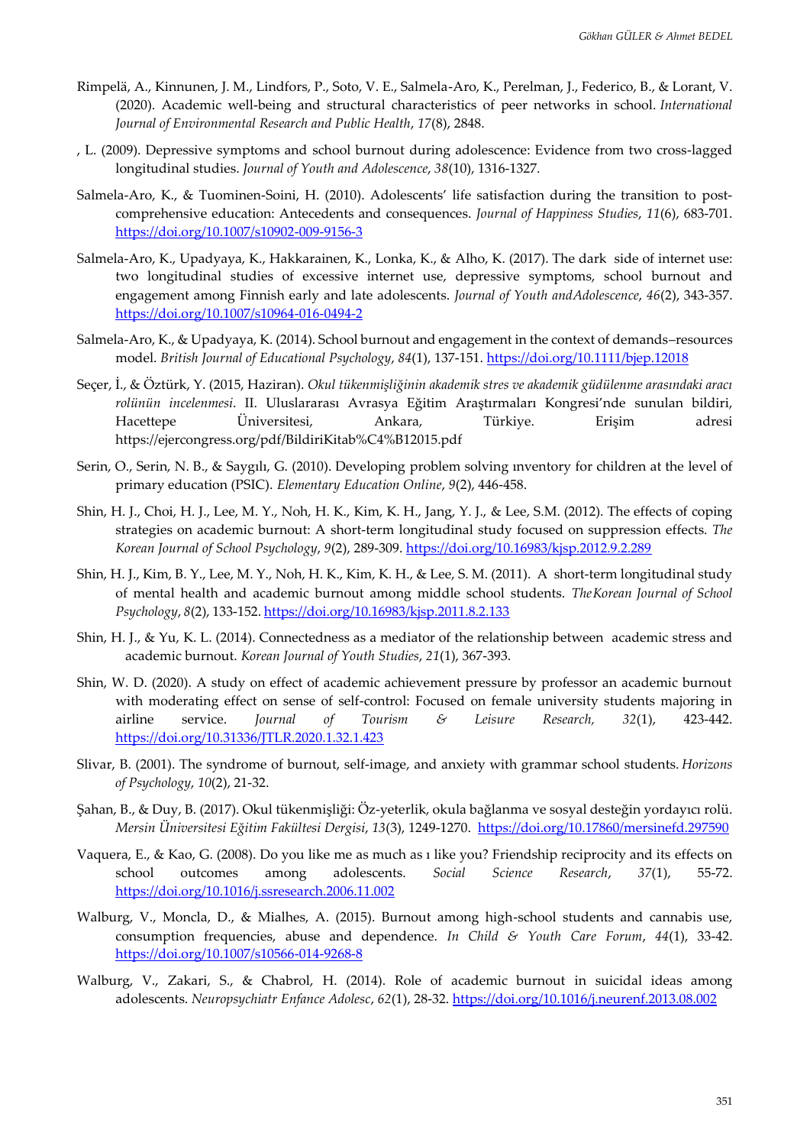- Rimpelä, A., Kinnunen, J. M., Lindfors, P., Soto, V. E., Salmela-Aro, K., Perelman, J., Federico, B., & Lorant, V. (2020). Academic well-being and structural characteristics of peer networks in school. *International Journal of Environmental Research and Public Health*, *17*(8), 2848.
- , L. (2009). Depressive symptoms and school burnout during adolescence: Evidence from two cross-lagged longitudinal studies. *Journal of Youth and Adolescence*, *38*(10), 1316-1327.
- Salmela-Aro, K., & Tuominen-Soini, H. (2010). Adolescents' life satisfaction during the transition to postcomprehensive education: Antecedents and consequences. *Journal of Happiness Studies*, *11*(6), 683-701. <https://doi.org/10.1007/s10902-009-9156-3>
- Salmela-Aro, K., Upadyaya, K., Hakkarainen, K., Lonka, K., & Alho, K. (2017). The dark side of internet use: two longitudinal studies of excessive internet use, depressive symptoms, school burnout and engagement among Finnish early and late adolescents. *Journal of Youth andAdolescence*, *46*(2), 343-357. <https://doi.org/10.1007/s10964-016-0494-2>
- Salmela‐Aro, K., & Upadyaya, K. (2014). School burnout and engagement in the context of demands–resources model. *British Journal of Educational Psychology*, *84*(1), 137-151. <https://doi.org/10.1111/bjep.12018>
- Seçer, İ., & Öztürk, Y. (2015, Haziran). *Okul tükenmişliğinin akademik stres ve akademik güdülenme arasındaki aracı rolünün incelenmesi*. II. Uluslararası Avrasya Eğitim Araştırmaları Kongresi'nde sunulan bildiri, Hacettepe Üniversitesi, Ankara, Türkiye. Erişim adresi <https://ejercongress.org/pdf/BildiriKitab%C4%B12015.pdf>
- Serin, O., Serin, N. B., & Saygılı, G. (2010). Developing problem solving ınventory for children at the level of primary education (PSIC). *Elementary Education Online*, *9*(2), 446-458.
- Shin, H. J., Choi, H. J., Lee, M. Y., Noh, H. K., Kim, K. H., Jang, Y. J., & Lee, S.M. (2012). The effects of coping strategies on academic burnout: A short-term longitudinal study focused on suppression effects. *The Korean Journal of School Psychology*, *9*(2), 289-309. <https://doi.org/10.16983/kjsp.2012.9.2.289>
- Shin, H. J., Kim, B. Y., Lee, M. Y., Noh, H. K., Kim, K. H., & Lee, S. M. (2011). A short-term longitudinal study of mental health and academic burnout among middle school students. *TheKorean Journal of School Psychology*, *8*(2), 133-152. <https://doi.org/10.16983/kjsp.2011.8.2.133>
- Shin, H. J., & Yu, K. L. (2014). Connectedness as a mediator of the relationship between academic stress and academic burnout. *Korean Journal of Youth Studies*, *21*(1), 367-393.
- Shin, W. D. (2020). A study on effect of academic achievement pressure by professor an academic burnout with moderating effect on sense of self-control: Focused on female university students majoring in airline service. *Journal of Tourism & Leisure Research, 32*(1), 423-442. <https://doi.org/10.31336/JTLR.2020.1.32.1.423>
- Slivar, B. (2001). The syndrome of burnout, self-image, and anxiety with grammar school students. *Horizons of Psychology*, *10*(2), 21-32.
- Şahan, B., & Duy, B. (2017). Okul tükenmişliği: Öz-yeterlik, okula bağlanma ve sosyal desteğin yordayıcı rolü. *Mersin Üniversitesi Eğitim Fakültesi Dergisi*, *13*(3), 1249-1270. <https://doi.org/10.17860/mersinefd.297590>
- Vaquera, E., & Kao, G. (2008). Do you like me as much as ı like you? Friendship reciprocity and its effects on school outcomes among adolescents. *Social Science Research*, *37*(1), 55-72. <https://doi.org/10.1016/j.ssresearch.2006.11.002>
- Walburg, V., Moncla, D., & Mialhes, A. (2015). Burnout among high-school students and cannabis use, consumption frequencies, abuse and dependence. *In Child & Youth Care Forum*, *44*(1), 33-42. <https://doi.org/10.1007/s10566-014-9268-8>
- Walburg, V., Zakari, S., & Chabrol, H. (2014). Role of academic burnout in suicidal ideas among adolescents. *Neuropsychiatr Enfance Adolesc*, *62*(1), 28-32. https://doi.org[/10.1016/j.neurenf.2013.08.002](https://www.researchgate.net/deref/http%3A%2F%2Fdx.doi.org%2F10.1016%2Fj.neurenf.2013.08.002)